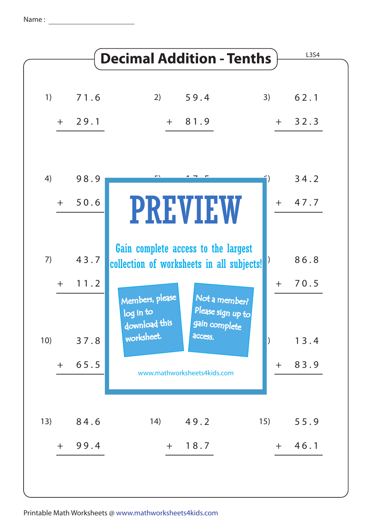